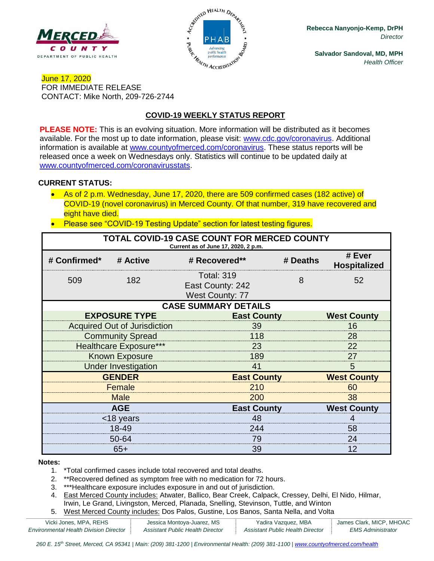



**Rebecca Nanyonjo-Kemp, DrPH** *Director*

**Salvador Sandoval, MD, MPH** *Health Officer*

## June 17, 2020 FOR IMMEDIATE RELEASE CONTACT: Mike North, 209-726-2744

# **COVID-19 WEEKLY STATUS REPORT**

**PLEASE NOTE:** This is an evolving situation. More information will be distributed as it becomes available. For the most up to date information, please visit: [www.cdc.gov/coronavirus.](http://www.cdc.gov/coronavirus) Additional information is available at [www.countyofmerced.com/coronavirus.](http://www.countyofmerced.com/coronavirus) These status reports will be released once a week on Wednesdays only. Statistics will continue to be updated daily at [www.countyofmerced.com/coronavirusstats.](http://www.countyofmerced.com/coronavirusstats)

#### **CURRENT STATUS:**

- As of 2 p.m. Wednesday, June 17, 2020, there are 509 confirmed cases (182 active) of COVID-19 (novel coronavirus) in Merced County. Of that number, 319 have recovered and eight have died.
- Please see "COVID-19 Testing Update" section for latest testing figures.

| TOTAL COVID-19 CASE COUNT FOR MERCED COUNTY<br>Current as of June 17, 2020, 2 p.m. |                                     |                                                                 |                    |                               |  |  |  |
|------------------------------------------------------------------------------------|-------------------------------------|-----------------------------------------------------------------|--------------------|-------------------------------|--|--|--|
| # Confirmed*                                                                       | # Active                            | # Recovered**                                                   | # Deaths           | # Ever<br><b>Hospitalized</b> |  |  |  |
| 509                                                                                | 182                                 | <b>Total: 319</b><br>East County: 242<br><b>West County: 77</b> | 8                  | 52                            |  |  |  |
| <b>CASE SUMMARY DETAILS</b>                                                        |                                     |                                                                 |                    |                               |  |  |  |
|                                                                                    | <b>EXPOSURE TYPE</b>                | <b>East County</b>                                              |                    | <b>West County</b>            |  |  |  |
|                                                                                    | <b>Acquired Out of Jurisdiction</b> | 39                                                              |                    |                               |  |  |  |
|                                                                                    | <b>Community Spread</b>             | 118                                                             |                    |                               |  |  |  |
|                                                                                    | <b>Healthcare Exposure***</b>       | 23                                                              |                    |                               |  |  |  |
|                                                                                    | <b>Known Exposure</b>               | 189                                                             |                    |                               |  |  |  |
|                                                                                    | <b>Under Investigation</b>          | 41                                                              |                    |                               |  |  |  |
| <b>GENDER</b>                                                                      |                                     |                                                                 | <b>East County</b> |                               |  |  |  |
|                                                                                    | Female                              | 210                                                             |                    |                               |  |  |  |
|                                                                                    | <b>Male</b>                         | 200                                                             |                    |                               |  |  |  |
|                                                                                    | <b>AGE</b>                          |                                                                 | <b>East County</b> |                               |  |  |  |
|                                                                                    | <18 years                           | 48                                                              |                    |                               |  |  |  |
|                                                                                    | 18-49                               | 244                                                             |                    | 58                            |  |  |  |
|                                                                                    | 50-64                               | 79                                                              |                    | 24                            |  |  |  |
| $65+$                                                                              |                                     | 39                                                              |                    | 12                            |  |  |  |

#### **Notes:**

- 1. \*Total confirmed cases include total recovered and total deaths.
- 2. \*\*Recovered defined as symptom free with no medication for 72 hours.
- 3. \*\*\*Healthcare exposure includes exposure in and out of jurisdiction.
- 4. East Merced County includes: Atwater, Ballico, Bear Creek, Calpack, Cressey, Delhi, El Nido, Hilmar, Irwin, Le Grand, Livingston, Merced, Planada, Snelling, Stevinson, Tuttle, and Winton
- 5. West Merced County includes: Dos Palos, Gustine, Los Banos, Santa Nella, and Volta

| Vicki Jones, MPA, REHS                        | Jessica Montoya-Juarez, MS       | Yadira Vazquez, MBA              | James Clark, MICP, MHOAC |
|-----------------------------------------------|----------------------------------|----------------------------------|--------------------------|
| <b>Environmental Health Division Director</b> | Assistant Public Health Director | Assistant Public Health Director | <i>EMS Administrator</i> |

*260 E. 15th Street, Merced, CA 95341 | Main: (209) 381-1200 | Environmental Health: (209) 381-1100* | *[www.countyofmerced.com/health](http://www.countyofmerced.com/health)*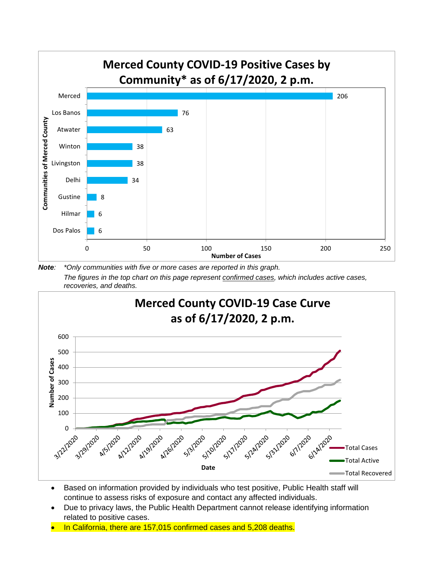

*Note: \*Only communities with five or more cases are reported in this graph. The figures in the top chart on this page represent confirmed cases, which includes active cases, recoveries, and deaths.*



- Based on information provided by individuals who test positive, Public Health staff will continue to assess risks of exposure and contact any affected individuals.
- Due to privacy laws, the Public Health Department cannot release identifying information related to positive cases.
- In California, there are 157,015 confirmed cases and 5,208 deaths.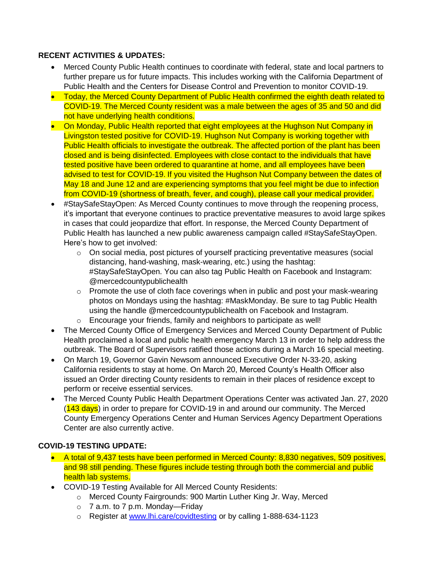## **RECENT ACTIVITIES & UPDATES:**

- Merced County Public Health continues to coordinate with federal, state and local partners to further prepare us for future impacts. This includes working with the California Department of Public Health and the Centers for Disease Control and Prevention to monitor COVID-19.
- Today, the Merced County Department of Public Health confirmed the eighth death related to COVID-19. The Merced County resident was a male between the ages of 35 and 50 and did not have underlying health conditions.
- On Monday, Public Health reported that eight employees at the Hughson Nut Company in Livingston tested positive for COVID-19. Hughson Nut Company is working together with Public Health officials to investigate the outbreak. The affected portion of the plant has been closed and is being disinfected. Employees with close contact to the individuals that have tested positive have been ordered to quarantine at home, and all employees have been advised to test for COVID-19. If you visited the Hughson Nut Company between the dates of May 18 and June 12 and are experiencing symptoms that you feel might be due to infection from COVID-19 (shortness of breath, fever, and cough), please call your medical provider.
- #StaySafeStayOpen: As Merced County continues to move through the reopening process, it's important that everyone continues to practice preventative measures to avoid large spikes in cases that could jeopardize that effort. In response, the Merced County Department of Public Health has launched a new public awareness campaign called #StaySafeStayOpen. Here's how to get involved:
	- o On social media, post pictures of yourself practicing preventative measures (social distancing, hand-washing, mask-wearing, etc.) using the hashtag: #StaySafeStayOpen. You can also tag Public Health on Facebook and Instagram: @mercedcountypublichealth
	- $\circ$  Promote the use of cloth face coverings when in public and post your mask-wearing photos on Mondays using the hashtag: #MaskMonday. Be sure to tag Public Health using the handle @mercedcountypublichealth on Facebook and Instagram.
	- o Encourage your friends, family and neighbors to participate as well!
- The Merced County Office of Emergency Services and Merced County Department of Public Health proclaimed a local and public health emergency March 13 in order to help address the outbreak. The Board of Supervisors ratified those actions during a March 16 special meeting.
- On March 19, Governor Gavin Newsom announced Executive Order N-33-20, asking California residents to stay at home. On March 20, Merced County's Health Officer also issued an Order directing County residents to remain in their places of residence except to perform or receive essential services.
- The Merced County Public Health Department Operations Center was activated Jan. 27, 2020 (143 days) in order to prepare for COVID-19 in and around our community. The Merced County Emergency Operations Center and Human Services Agency Department Operations Center are also currently active.

## **COVID-19 TESTING UPDATE:**

- A total of 9,437 tests have been performed in Merced County: 8,830 negatives, 509 positives, and 98 still pending. These figures include testing through both the commercial and public health lab systems.
- COVID-19 Testing Available for All Merced County Residents:
	- o Merced County Fairgrounds: 900 Martin Luther King Jr. Way, Merced
	- o 7 a.m. to 7 p.m. Monday—Friday
	- o Register at [www.lhi.care/covidtesting](http://www.lhi.care/covidtesting) or by calling 1-888-634-1123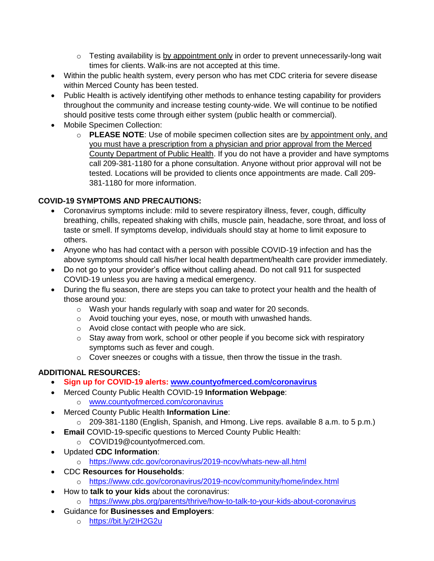- $\circ$  Testing availability is by appointment only in order to prevent unnecessarily-long wait times for clients. Walk-ins are not accepted at this time.
- Within the public health system, every person who has met CDC criteria for severe disease within Merced County has been tested.
- Public Health is actively identifying other methods to enhance testing capability for providers throughout the community and increase testing county-wide. We will continue to be notified should positive tests come through either system (public health or commercial).
- Mobile Specimen Collection:
	- o **PLEASE NOTE**: Use of mobile specimen collection sites are by appointment only, and you must have a prescription from a physician and prior approval from the Merced County Department of Public Health. If you do not have a provider and have symptoms call 209-381-1180 for a phone consultation. Anyone without prior approval will not be tested. Locations will be provided to clients once appointments are made. Call 209- 381-1180 for more information.

#### **COVID-19 SYMPTOMS AND PRECAUTIONS:**

- Coronavirus symptoms include: mild to severe respiratory illness, fever, cough, difficulty breathing, chills, repeated shaking with chills, muscle pain, headache, sore throat, and loss of taste or smell. If symptoms develop, individuals should stay at home to limit exposure to others.
- Anyone who has had contact with a person with possible COVID-19 infection and has the above symptoms should call his/her local health department/health care provider immediately.
- Do not go to your provider's office without calling ahead. Do not call 911 for suspected COVID-19 unless you are having a medical emergency.
- During the flu season, there are steps you can take to protect your health and the health of those around you:
	- o Wash your hands regularly with soap and water for 20 seconds.
	- o Avoid touching your eyes, nose, or mouth with unwashed hands.
	- o Avoid close contact with people who are sick.
	- $\circ$  Stay away from work, school or other people if you become sick with respiratory symptoms such as fever and cough.
	- o Cover sneezes or coughs with a tissue, then throw the tissue in the trash.

#### **ADDITIONAL RESOURCES:**

- **Sign up for COVID-19 alerts: [www.countyofmerced.com/coronavirus](http://www.countyofmerced.com/coronavirus)**
- Merced County Public Health COVID-19 **Information Webpage**:
	- o [www.countyofmerced.com/coronavirus](http://www.countyofmerced.com/coronavirus)
- Merced County Public Health **Information Line**:
	- o 209-381-1180 (English, Spanish, and Hmong. Live reps. available 8 a.m. to 5 p.m.)
	- **Email** COVID-19-specific questions to Merced County Public Health:
	- o COVID19@countyofmerced.com.
- Updated **CDC Information**:
	- o <https://www.cdc.gov/coronavirus/2019-ncov/whats-new-all.html>
- CDC **Resources for Households**:
	- o <https://www.cdc.gov/coronavirus/2019-ncov/community/home/index.html>
- How to **talk to your kids** about the coronavirus:
	- o <https://www.pbs.org/parents/thrive/how-to-talk-to-your-kids-about-coronavirus>
- Guidance for **Businesses and Employers**:
	- o <https://bit.ly/2IH2G2u>